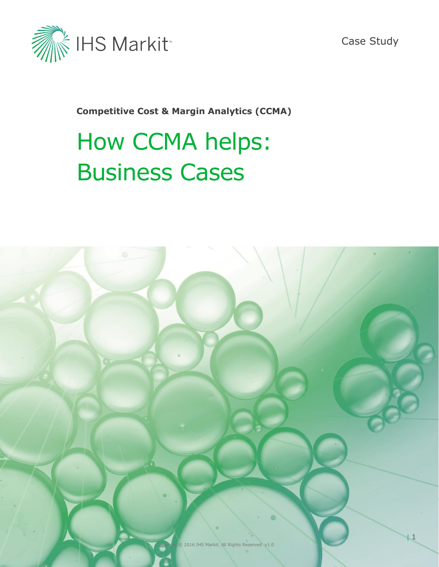

Case Study

**Competitive Cost & Margin Analytics (CCMA)**

# How CCMA helps: Business Cases

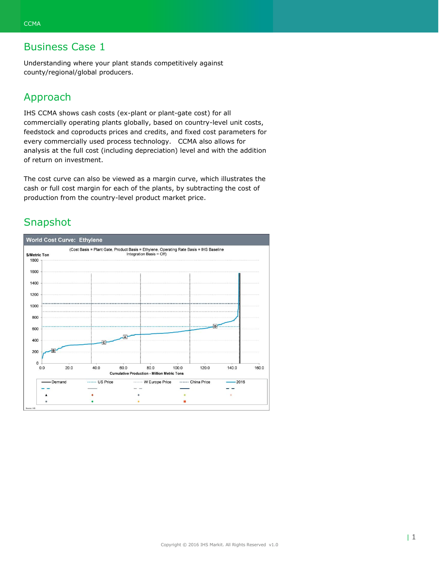Understanding where your plant stands competitively against county/regional/global producers.

#### Approach

IHS CCMA shows cash costs (ex-plant or plant-gate cost) for all commercially operating plants globally, based on country-level unit costs, feedstock and coproducts prices and credits, and fixed cost parameters for every commercially used process technology. CCMA also allows for analysis at the full cost (including depreciation) level and with the addition of return on investment.

The cost curve can also be viewed as a margin curve, which illustrates the cash or full cost margin for each of the plants, by subtracting the cost of production from the country-level product market price.

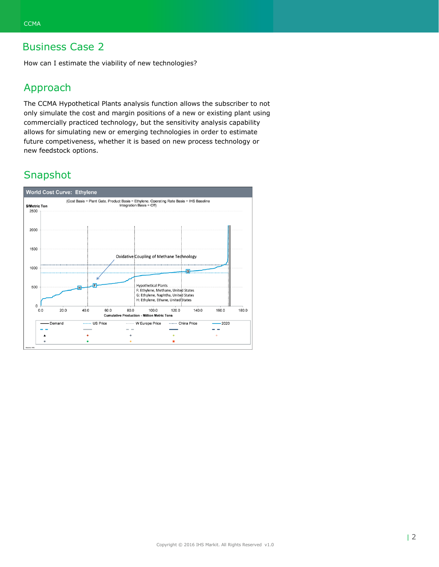How can I estimate the viability of new technologies?

## Approach

The CCMA Hypothetical Plants analysis function allows the subscriber to not only simulate the cost and margin positions of a new or existing plant using commercially practiced technology, but the sensitivity analysis capability allows for simulating new or emerging technologies in order to estimate future competiveness, whether it is based on new process technology or new feedstock options.

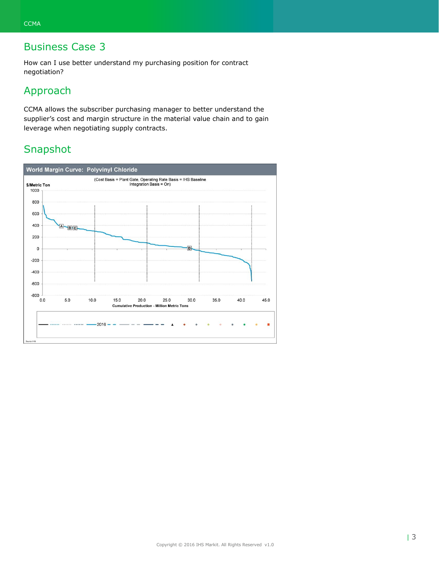How can I use better understand my purchasing position for contract negotiation?

## Approach

CCMA allows the subscriber purchasing manager to better understand the supplier's cost and margin structure in the material value chain and to gain leverage when negotiating supply contracts.